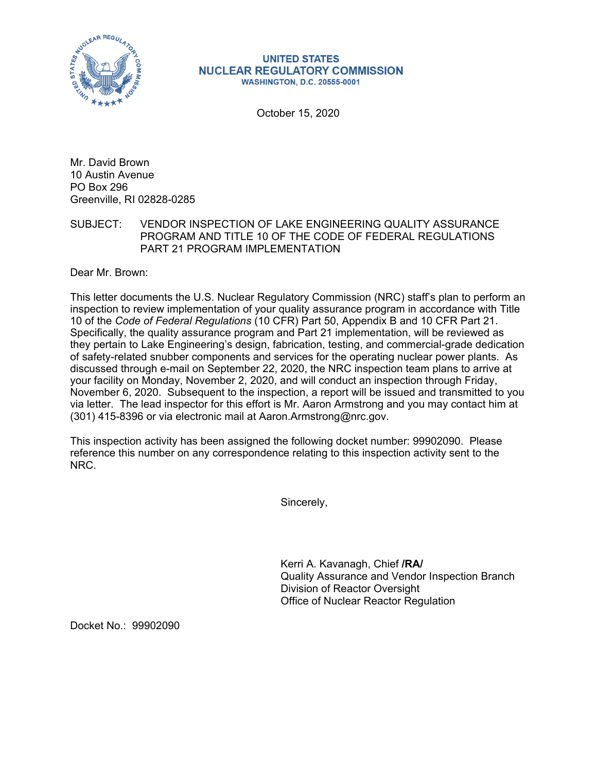

## **UNITED STATES NUCLEAR REGULATORY COMMISSION WASHINGTON, D.C. 20555-0001**

October 15, 2020

Mr. David Brown 10 Austin Avenue PO Box 296 Greenville, RI 02828-0285

## SUBJECT: VENDOR INSPECTION OF LAKE ENGINEERING QUALITY ASSURANCE PROGRAM AND TITLE 10 OF THE CODE OF FEDERAL REGULATIONS PART 21 PROGRAM IMPLEMENTATION

Dear Mr. Brown:

This letter documents the U.S. Nuclear Regulatory Commission (NRC) staff's plan to perform an inspection to review implementation of your quality assurance program in accordance with Title 10 of the *Code of Federal Regulations* (10 CFR) Part 50, Appendix B and 10 CFR Part 21. Specifically, the quality assurance program and Part 21 implementation, will be reviewed as they pertain to Lake Engineering's design, fabrication, testing, and commercial-grade dedication of safety-related snubber components and services for the operating nuclear power plants. As discussed through e-mail on September 22, 2020, the NRC inspection team plans to arrive at your facility on Monday, November 2, 2020, and will conduct an inspection through Friday, November 6, 2020. Subsequent to the inspection, a report will be issued and transmitted to you via letter. The lead inspector for this effort is Mr. Aaron Armstrong and you may contact him at (301) 415-8396 or via electronic mail at Aaron.Armstrong@nrc.gov.

This inspection activity has been assigned the following docket number: 99902090. Please reference this number on any correspondence relating to this inspection activity sent to the NRC.

Sincerely,

Kerri A. Kavanagh, Chief **/RA/**  Quality Assurance and Vendor Inspection Branch Division of Reactor Oversight Office of Nuclear Reactor Regulation

Docket No.: 99902090